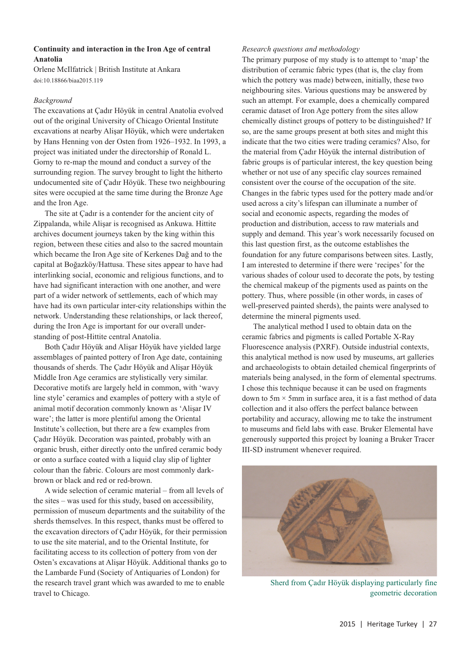# **Continuity and interaction in the Iron Age of central Anatolia**

Orlene McIlfatrick | British Institute at Ankara doi:10.18866/biaa2015.119

## *Background*

The excavations at Çadır Höyük in central Anatolia evolved out of the original University of Chicago Oriental Institute excavations at nearby Alişar Höyük, which were undertaken by Hans Henning von der Osten from 1926–1932. In 1993, a project was initiated under the directorship of Ronald L. Gorny to re-map the mound and conduct a survey of the surrounding region. The survey brought to light the hitherto undocumented site of Çadır Höyük. These two neighbouring sites were occupied at the same time during the Bronze Age and the Iron Age.

The site at Çadır is a contender for the ancient city of Zippalanda, while Alişar is recognised as Ankuwa. Hittite archives document journeys taken by the king within this region, between these cities and also to the sacred mountain which became the Iron Age site of Kerkenes Dağ and to the capital at Boğazköy/Hattusa. These sites appear to have had interlinking social, economic and religious functions, and to have had significant interaction with one another, and were part of a wider network of settlements, each of which may have had its own particular inter-city relationships within the network. Understanding these relationships, or lack thereof, during the Iron Age is important for our overall understanding of post-Hittite central Anatolia.

Both Çadır Höyük and Alişar Höyük have yielded large assemblages of painted pottery of Iron Age date, containing thousands of sherds. The Çadır Höyük and Alişar Höyük Middle Iron Age ceramics are stylistically very similar. Decorative motifs are largely held in common, with 'wavy line style' ceramics and examples of pottery with a style of animal motif decoration commonly known as 'Alişar IV ware'; the latter is more plentiful among the Oriental Institute's collection, but there are a few examples from Çadır Höyük. Decoration was painted, probably with an organic brush, either directly onto the unfired ceramic body or onto a surface coated with a liquid clay slip of lighter colour than the fabric. Colours are most commonly darkbrown or black and red or red-brown.

A wide selection of ceramic material – from all levels of the sites – was used for this study, based on accessibility, permission of museum departments and the suitability of the sherds themselves. In this respect, thanks must be offered to the excavation directors of Çadır Höyük, for their permission to use the site material, and to the Oriental Institute, for facilitating access to its collection of pottery from von der Osten's excavations at Alişar Höyük. Additional thanks go to the Lambarde Fund (Society of Antiquaries of London) for the research travel grant which was awarded to me to enable travel to Chicago.

### *Research questions and methodology*

The primary purpose of my study is to attempt to 'map' the distribution of ceramic fabric types (that is, the clay from which the pottery was made) between, initially, these two neighbouring sites. Various questions may be answered by such an attempt. For example, does a chemically compared ceramic dataset of Iron Age pottery from the sites allow chemically distinct groups of pottery to be distinguished? If so, are the same groups present at both sites and might this indicate that the two cities were trading ceramics? Also, for the material from Çadır Höyük the internal distribution of fabric groups is of particular interest, the key question being whether or not use of any specific clay sources remained consistent over the course of the occupation of the site. Changes in the fabric types used for the pottery made and/or used across a city's lifespan can illuminate a number of social and economic aspects, regarding the modes of production and distribution, access to raw materials and supply and demand. This year's work necessarily focused on this last question first, as the outcome establishes the foundation for any future comparisons between sites. Lastly, I am interested to determine if there were 'recipes' for the various shades of colour used to decorate the pots, by testing the chemical makeup of the pigments used as paints on the pottery. Thus, where possible (in other words, in cases of well-preserved painted sherds), the paints were analysed to determine the mineral pigments used.

The analytical method I used to obtain data on the ceramic fabrics and pigments is called Portable X-Ray Fluorescence analysis (PXRF). Outside industrial contexts, this analytical method is now used by museums, art galleries and archaeologists to obtain detailed chemical fingerprints of materials being analysed, in the form of elemental spectrums. I chose this technique because it can be used on fragments down to  $5m \times 5mm$  in surface area, it is a fast method of data collection and it also offers the perfect balance between portability and accuracy, allowing me to take the instrument to museums and field labs with ease. Bruker Elemental have generously supported this project by loaning a Bruker Tracer III-SD instrument whenever required.



Sherd from Çadır Höyük displaying particularly fine geometric decoration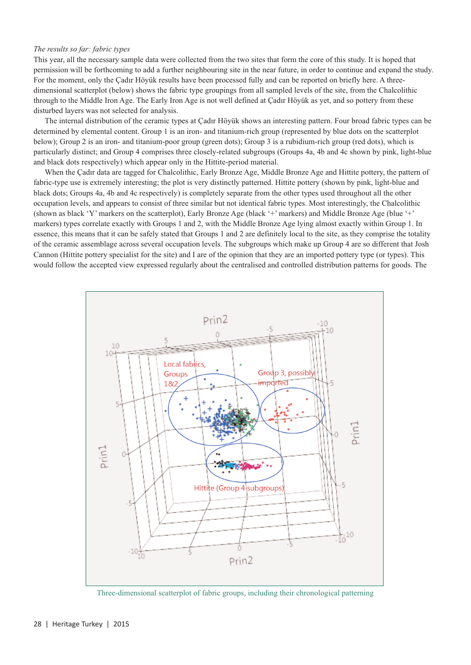### *The results so far: fabric types*

This year, all the necessary sample data were collected from the two sites that form the core of this study. It is hoped that permission will be forthcoming to add a further neighbouring site in the near future, in order to continue and expand the study. For the moment, only the Çadır Höyük results have been processed fully and can be reported on briefly here. A threedimensional scatterplot (below) shows the fabric type groupings from all sampled levels of the site, from the Chalcolithic through to the Middle Iron Age. The Early Iron Age is not well defined at Çadır Höyük as yet, and so pottery from these disturbed layers was not selected for analysis.

The internal distribution of the ceramic types at Çadır Höyük shows an interesting pattern. Four broad fabric types can be determined by elemental content. Group 1 is an iron- and titanium-rich group (represented by blue dots on the scatterplot below); Group 2 is an iron- and titanium-poor group (green dots); Group 3 is a rubidium-rich group (red dots), which is particularly distinct; and Group 4 comprises three closely-related subgroups (Groups 4a, 4b and 4c shown by pink, light-blue and black dots respectively) which appear only in the Hittite-period material.

When the Çadır data are tagged for Chalcolithic, Early Bronze Age, Middle Bronze Age and Hittite pottery, the pattern of fabric-type use is extremely interesting; the plot is very distinctly patterned. Hittite pottery (shown by pink, light-blue and black dots; Groups 4a, 4b and 4c respectively) is completely separate from the other types used throughout all the other occupation levels, and appears to consist of three similar but not identical fabric types. Most interestingly, the Chalcolithic (shown as black 'Y' markers on the scatterplot), Early Bronze Age (black '+' markers) and Middle Bronze Age (blue '+' markers) types correlate exactly with Groups 1 and 2, with the Middle Bronze Age lying almost exactly within Group 1. In essence, this means that it can be safely stated that Groups 1 and 2 are definitely local to the site, as they comprise the totality of the ceramic assemblage across several occupation levels. The subgroups which make up Group 4 are so different that Josh Cannon (Hittite pottery specialist for the site) and I are of the opinion that they are an imported pottery type (or types). This would follow the accepted view expressed regularly about the centralised and controlled distribution patterns for goods. The



Three-dimensional scatterplot of fabric groups, including their chronological patterning